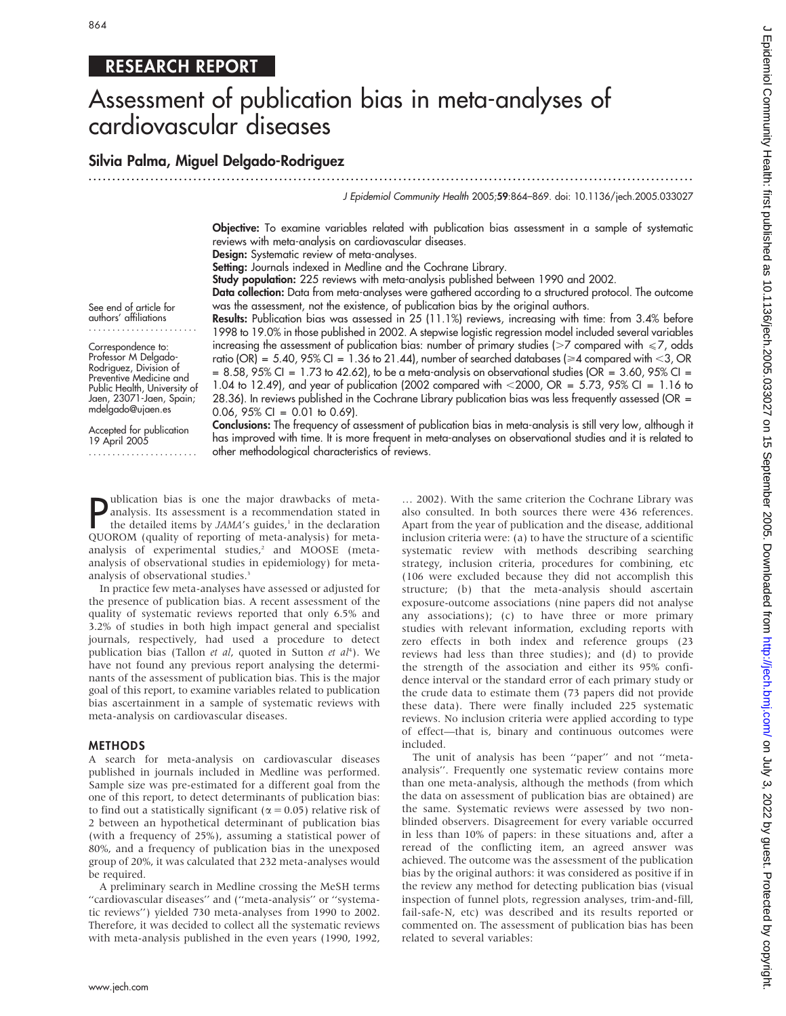# RESEARCH REPORT

# Assessment of publication bias in meta-analyses of cardiovascular diseases

# Silvia Palma, Miguel Delgado-Rodriguez

...............................................................................................................................

J Epidemiol Community Health 2005;59:864–869. doi: 10.1136/jech.2005.033027

Objective: To examine variables related with publication bias assessment in a sample of systematic reviews with meta-analysis on cardiovascular diseases.

Design: Systematic review of meta-analyses.

Setting: Journals indexed in Medline and the Cochrane Library.

Study population: 225 reviews with meta-analysis published between 1990 and 2002.

Data collection: Data from meta-analyses were gathered according to a structured protocol. The outcome was the assessment, not the existence, of publication bias by the original authors.

See end of article for authors' affiliations .......................

Correspondence to: Professor M Delgado-Rodriguez, Division of Preventive Medicine and Public Health, University of Jaen, 23071-Jaen, Spain; mdelgado@ujaen.es

Results: Publication bias was assessed in 25 (11.1%) reviews, increasing with time: from 3.4% before 1998 to 19.0% in those published in 2002. A stepwise logistic regression model included several variables increasing the assessment of publication bias: number of primary studies ( $>7$  compared with  $\leq 7$ , odds ratio (OR) = 5.40, 95% CI = 1.36 to 21.44), number of searched databases ( $\geq 4$  compared with <3, OR  $= 8.58$ , 95% CI = 1.73 to 42.62), to be a meta-analysis on observational studies (OR = 3.60, 95% CI = 1.04 to 12.49), and year of publication (2002 compared with  $\leq$  2000, OR = 5.73, 95% CI = 1.16 to 28.36). In reviews published in the Cochrane Library publication bias was less frequently assessed (OR = 0.06,  $95\%$  CI = 0.01 to 0.69).

Accepted for publication 19 April 2005 ....................... Conclusions: The frequency of assessment of publication bias in meta-analysis is still very low, although it has improved with time. It is more frequent in meta-analyses on observational studies and it is related to other methodological characteristics of reviews.

**P** ublication bias is one the major drawbacks of meta-<br>analysis. Its assessment is a recommendation stated in<br>the detailed items by *JAMA's* guides,<sup>1</sup> in the declaration<br>QUOROM (quality of reporting of meta-analysis) for ublication bias is one the major drawbacks of metathe detailed items by  $JAMA's$  guides, $1$  in the declaration QUOROM (quality of reporting of meta-analysis) for metaanalysis of experimental studies,<sup>2</sup> and MOOSE (metaanalysis of observational studies in epidemiology) for metaanalysis of observational studies.<sup>3</sup>

In practice few meta-analyses have assessed or adjusted for the presence of publication bias. A recent assessment of the quality of systematic reviews reported that only 6.5% and 3.2% of studies in both high impact general and specialist journals, respectively, had used a procedure to detect publication bias (Tallon et al, quoted in Sutton et al<sup>4</sup>). We have not found any previous report analysing the determinants of the assessment of publication bias. This is the major goal of this report, to examine variables related to publication bias ascertainment in a sample of systematic reviews with meta-analysis on cardiovascular diseases.

#### METHODS

A search for meta-analysis on cardiovascular diseases published in journals included in Medline was performed. Sample size was pre-estimated for a different goal from the one of this report, to detect determinants of publication bias: to find out a statistically significant ( $\alpha$  = 0.05) relative risk of 2 between an hypothetical determinant of publication bias (with a frequency of 25%), assuming a statistical power of 80%, and a frequency of publication bias in the unexposed group of 20%, it was calculated that 232 meta-analyses would be required.

A preliminary search in Medline crossing the MeSH terms "cardiovascular diseases" and ("meta-analysis" or "systematic reviews'') yielded 730 meta-analyses from 1990 to 2002. Therefore, it was decided to collect all the systematic reviews with meta-analysis published in the even years (1990, 1992,

… 2002). With the same criterion the Cochrane Library was also consulted. In both sources there were 436 references. Apart from the year of publication and the disease, additional inclusion criteria were: (a) to have the structure of a scientific systematic review with methods describing searching strategy, inclusion criteria, procedures for combining, etc (106 were excluded because they did not accomplish this structure; (b) that the meta-analysis should ascertain exposure-outcome associations (nine papers did not analyse any associations); (c) to have three or more primary studies with relevant information, excluding reports with zero effects in both index and reference groups (23 reviews had less than three studies); and (d) to provide the strength of the association and either its 95% confidence interval or the standard error of each primary study or the crude data to estimate them (73 papers did not provide these data). There were finally included 225 systematic reviews. No inclusion criteria were applied according to type of effect—that is, binary and continuous outcomes were included.

The unit of analysis has been ''paper'' and not ''metaanalysis''. Frequently one systematic review contains more than one meta-analysis, although the methods (from which the data on assessment of publication bias are obtained) are the same. Systematic reviews were assessed by two nonblinded observers. Disagreement for every variable occurred in less than 10% of papers: in these situations and, after a reread of the conflicting item, an agreed answer was achieved. The outcome was the assessment of the publication bias by the original authors: it was considered as positive if in the review any method for detecting publication bias (visual inspection of funnel plots, regression analyses, trim-and-fill, fail-safe-N, etc) was described and its results reported or commented on. The assessment of publication bias has been related to several variables: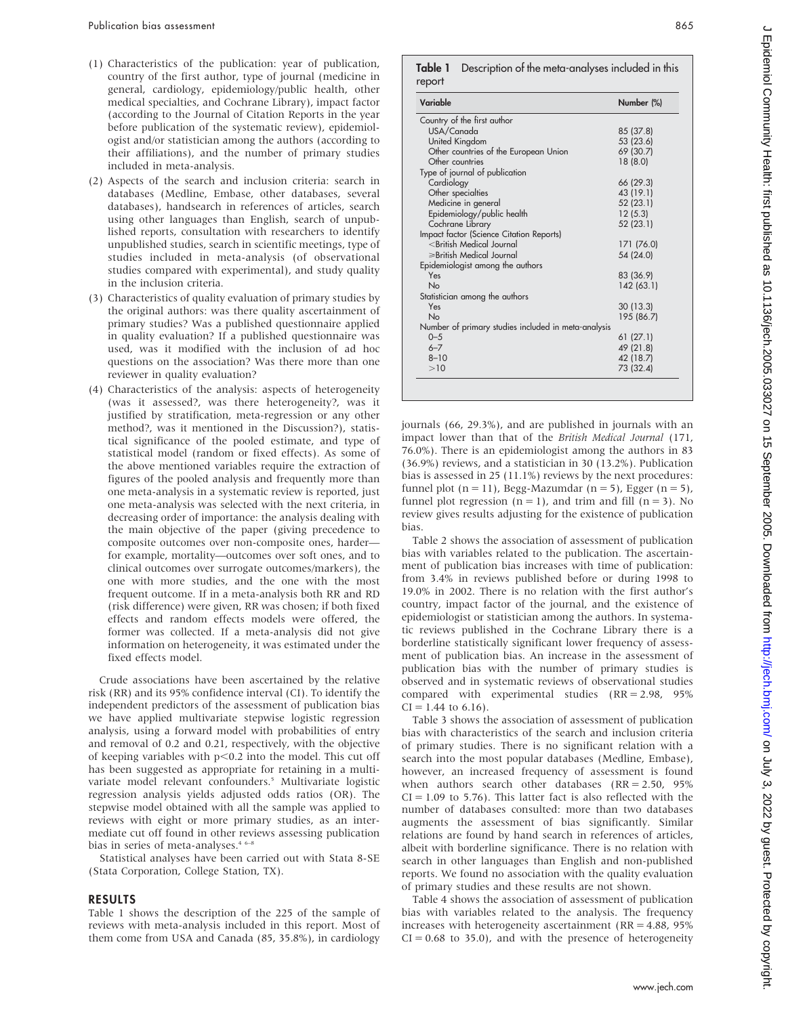- (1) Characteristics of the publication: year of publication, country of the first author, type of journal (medicine in general, cardiology, epidemiology/public health, other medical specialties, and Cochrane Library), impact factor (according to the Journal of Citation Reports in the year before publication of the systematic review), epidemiologist and/or statistician among the authors (according to their affiliations), and the number of primary studies included in meta-analysis.
- (2) Aspects of the search and inclusion criteria: search in databases (Medline, Embase, other databases, several databases), handsearch in references of articles, search using other languages than English, search of unpublished reports, consultation with researchers to identify unpublished studies, search in scientific meetings, type of studies included in meta-analysis (of observational studies compared with experimental), and study quality in the inclusion criteria.
- (3) Characteristics of quality evaluation of primary studies by the original authors: was there quality ascertainment of primary studies? Was a published questionnaire applied in quality evaluation? If a published questionnaire was used, was it modified with the inclusion of ad hoc questions on the association? Was there more than one reviewer in quality evaluation?
- (4) Characteristics of the analysis: aspects of heterogeneity (was it assessed?, was there heterogeneity?, was it justified by stratification, meta-regression or any other method?, was it mentioned in the Discussion?), statistical significance of the pooled estimate, and type of statistical model (random or fixed effects). As some of the above mentioned variables require the extraction of figures of the pooled analysis and frequently more than one meta-analysis in a systematic review is reported, just one meta-analysis was selected with the next criteria, in decreasing order of importance: the analysis dealing with the main objective of the paper (giving precedence to composite outcomes over non-composite ones, harder for example, mortality—outcomes over soft ones, and to clinical outcomes over surrogate outcomes/markers), the one with more studies, and the one with the most frequent outcome. If in a meta-analysis both RR and RD (risk difference) were given, RR was chosen; if both fixed effects and random effects models were offered, the former was collected. If a meta-analysis did not give information on heterogeneity, it was estimated under the fixed effects model.

Crude associations have been ascertained by the relative risk (RR) and its 95% confidence interval (CI). To identify the independent predictors of the assessment of publication bias we have applied multivariate stepwise logistic regression analysis, using a forward model with probabilities of entry and removal of 0.2 and 0.21, respectively, with the objective of keeping variables with  $p<0.2$  into the model. This cut off has been suggested as appropriate for retaining in a multivariate model relevant confounders.<sup>5</sup> Multivariate logistic regression analysis yields adjusted odds ratios (OR). The stepwise model obtained with all the sample was applied to reviews with eight or more primary studies, as an intermediate cut off found in other reviews assessing publication bias in series of meta-analyses.<sup>46-6</sup>

Statistical analyses have been carried out with Stata 8-SE (Stata Corporation, College Station, TX).

#### RESULTS

Table 1 shows the description of the 225 of the sample of reviews with meta-analysis included in this report. Most of them come from USA and Canada (85, 35.8%), in cardiology

#### **Table 1** Description of the meta-analyses included in this report

| Variable                                                            | Number (%) |
|---------------------------------------------------------------------|------------|
| Country of the first author                                         |            |
| USA/Canada                                                          | 85 (37.8)  |
| United Kingdom                                                      | 53 (23.6)  |
| Other countries of the European Union                               | 69 (30.7)  |
| Other countries                                                     | 18(8.0)    |
| Type of journal of publication                                      |            |
| Cardiology                                                          | 66 (29.3)  |
| Other specialties                                                   | 43 (19.1)  |
| Medicine in general                                                 | 52 (23.1)  |
| Epidemiology/public health                                          | 12(5.3)    |
| Cochrane Library                                                    | 52 (23.1)  |
| Impact factor (Science Citation Reports)                            |            |
| <british journal<="" medical="" td=""><td>171 (76.0)</td></british> | 171 (76.0) |
| $\geq$ British Medical Journal                                      | 54 (24.0)  |
| Epidemiologist among the authors                                    |            |
| Yes                                                                 | 83 (36.9)  |
| N <sub>0</sub>                                                      | 142 (63.1) |
| Statistician among the authors                                      |            |
| Yes                                                                 | 30(13.3)   |
| N <sub>0</sub>                                                      | 195 (86.7) |
| Number of primary studies included in meta-analysis                 |            |
| $0 - 5$                                                             | 61(27.1)   |
| $6 - 7$                                                             | 49 (21.8)  |
| $8 - 10$                                                            | 42 (18.7)  |
| >10                                                                 | 73 (32.4)  |

journals (66, 29.3%), and are published in journals with an impact lower than that of the British Medical Journal (171, 76.0%). There is an epidemiologist among the authors in 83 (36.9%) reviews, and a statistician in 30 (13.2%). Publication bias is assessed in 25 (11.1%) reviews by the next procedures: funnel plot (n = 11), Begg-Mazumdar (n = 5), Egger (n = 5), funnel plot regression  $(n = 1)$ , and trim and fill  $(n = 3)$ . No review gives results adjusting for the existence of publication bias.

Table 2 shows the association of assessment of publication bias with variables related to the publication. The ascertainment of publication bias increases with time of publication: from 3.4% in reviews published before or during 1998 to 19.0% in 2002. There is no relation with the first author's country, impact factor of the journal, and the existence of epidemiologist or statistician among the authors. In systematic reviews published in the Cochrane Library there is a borderline statistically significant lower frequency of assessment of publication bias. An increase in the assessment of publication bias with the number of primary studies is observed and in systematic reviews of observational studies compared with experimental studies (RR = 2.98, 95%  $CI = 1.44$  to 6.16).

Table 3 shows the association of assessment of publication bias with characteristics of the search and inclusion criteria of primary studies. There is no significant relation with a search into the most popular databases (Medline, Embase), however, an increased frequency of assessment is found when authors search other databases  $(RR = 2.50, 95\%)$  $CI = 1.09$  to 5.76). This latter fact is also reflected with the number of databases consulted: more than two databases augments the assessment of bias significantly. Similar relations are found by hand search in references of articles, albeit with borderline significance. There is no relation with search in other languages than English and non-published reports. We found no association with the quality evaluation of primary studies and these results are not shown.

Table 4 shows the association of assessment of publication bias with variables related to the analysis. The frequency increases with heterogeneity ascertainment (RR = 4.88, 95%  $CI = 0.68$  to 35.0), and with the presence of heterogeneity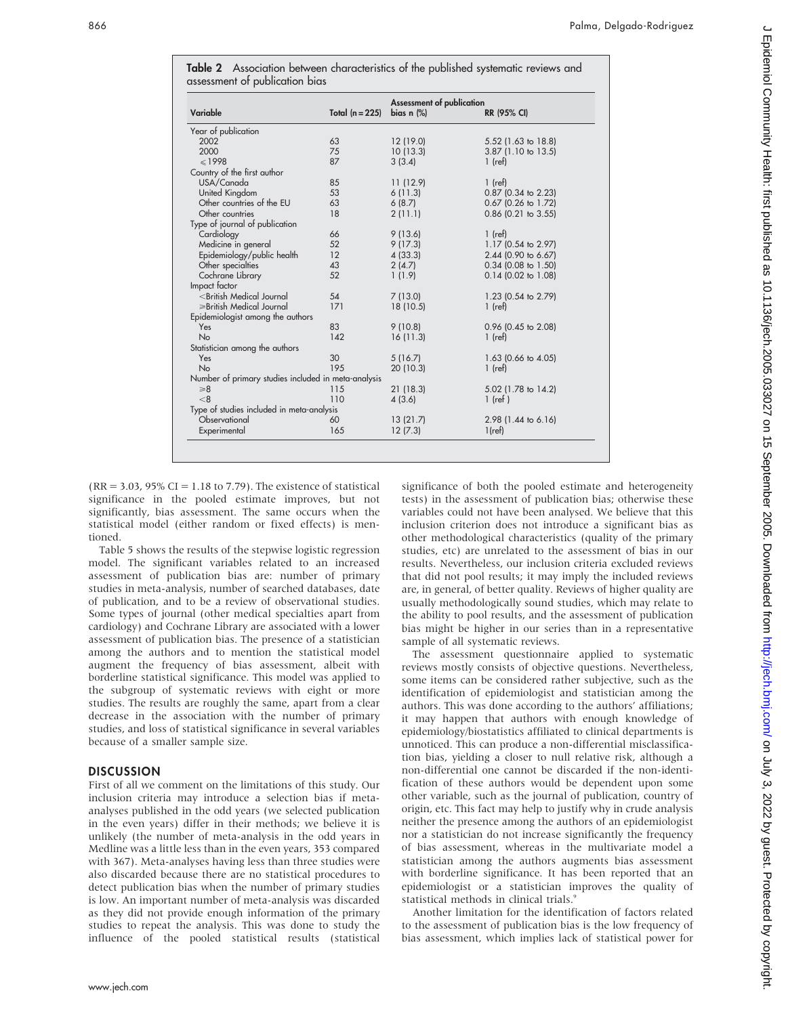| Variable                                                                                                | Total $(n = 225)$ | <b>Assessment of publication</b><br>bias $n$ $%$ | RR (95% CI)           |
|---------------------------------------------------------------------------------------------------------|-------------------|--------------------------------------------------|-----------------------|
| Year of publication                                                                                     |                   |                                                  |                       |
| 2002                                                                                                    | 63                | 12 (19.0)                                        | 5.52 (1.63 to 18.8)   |
| 2000                                                                                                    | 75                | 10(13.3)                                         | 3.87 (1.10 to 13.5)   |
| $\leq 1998$                                                                                             | 87                | 3(3.4)                                           | $1$ (ref)             |
| Country of the first author                                                                             |                   |                                                  |                       |
| USA/Canada                                                                                              | 85                | 11 (12.9)                                        | $1$ (ref)             |
| United Kingdom                                                                                          | 53                | 6(11.3)                                          | $0.87$ (0.34 to 2.23) |
| Other countries of the EU                                                                               | 63                | 6(8.7)                                           | $0.67$ (0.26 to 1.72) |
| Other countries                                                                                         | 18                | 2(11.1)                                          | $0.86$ (0.21 to 3.55) |
| Type of journal of publication                                                                          |                   |                                                  |                       |
| Cardiology                                                                                              | 66                | 9(13.6)                                          | $1$ (ref)             |
| Medicine in general                                                                                     | 52                | 9(17.3)                                          | 1.17 (0.54 to 2.97)   |
| Epidemiology/public health                                                                              | 12                | 4(33.3)                                          | 2.44 (0.90 to 6.67)   |
| Other specialties                                                                                       | 43                | 2(4.7)                                           | $0.34$ (0.08 to 1.50) |
| Cochrane Library                                                                                        | 52                | 1(1.9)                                           | $0.14$ (0.02 to 1.08) |
| Impact factor                                                                                           |                   |                                                  |                       |
| <british journal<="" medical="" td=""><td>54</td><td>7(13.0)</td><td>1.23 (0.54 to 2.79)</td></british> | 54                | 7(13.0)                                          | 1.23 (0.54 to 2.79)   |
| ≥British Medical Journal                                                                                | 171               | 18 (10.5)                                        | $1$ (ref)             |
| Epidemiologist among the authors                                                                        |                   |                                                  |                       |
| Yes                                                                                                     | 83                | 9(10.8)                                          | $0.96$ (0.45 to 2.08) |
| No                                                                                                      | 142               | 16(11.3)                                         | $1$ (ref)             |
| Statistician among the authors                                                                          |                   |                                                  |                       |
| Yes                                                                                                     | 30                | 5(16.7)                                          | 1.63 (0.66 to 4.05)   |
| No                                                                                                      | 195               | 20 (10.3)                                        | $1$ (ref)             |
| Number of primary studies included in meta-analysis                                                     |                   |                                                  |                       |
| $\geq 8$                                                                                                | 115               | 21(18.3)                                         | 5.02 (1.78 to 14.2)   |
| < 8                                                                                                     | 110               | 4(3.6)                                           | $1$ (ref)             |
| Type of studies included in meta-analysis                                                               |                   |                                                  |                       |
| Observational                                                                                           | 60                | 13(21.7)                                         | 2.98 (1.44 to 6.16)   |
| Experimental                                                                                            | 165               | 12(7.3)                                          | $1$ (ref)             |

Table 2 Association between characteristics of the published systematic reviews and

 $(RR = 3.03, 95\% CI = 1.18$  to 7.79). The existence of statistical significance in the pooled estimate improves, but not significantly, bias assessment. The same occurs when the statistical model (either random or fixed effects) is mentioned.

Table 5 shows the results of the stepwise logistic regression model. The significant variables related to an increased assessment of publication bias are: number of primary studies in meta-analysis, number of searched databases, date of publication, and to be a review of observational studies. Some types of journal (other medical specialties apart from cardiology) and Cochrane Library are associated with a lower assessment of publication bias. The presence of a statistician among the authors and to mention the statistical model augment the frequency of bias assessment, albeit with borderline statistical significance. This model was applied to the subgroup of systematic reviews with eight or more studies. The results are roughly the same, apart from a clear decrease in the association with the number of primary studies, and loss of statistical significance in several variables because of a smaller sample size.

#### **DISCUSSION**

First of all we comment on the limitations of this study. Our inclusion criteria may introduce a selection bias if metaanalyses published in the odd years (we selected publication in the even years) differ in their methods; we believe it is unlikely (the number of meta-analysis in the odd years in Medline was a little less than in the even years, 353 compared with 367). Meta-analyses having less than three studies were also discarded because there are no statistical procedures to detect publication bias when the number of primary studies is low. An important number of meta-analysis was discarded as they did not provide enough information of the primary studies to repeat the analysis. This was done to study the influence of the pooled statistical results (statistical significance of both the pooled estimate and heterogeneity tests) in the assessment of publication bias; otherwise these variables could not have been analysed. We believe that this inclusion criterion does not introduce a significant bias as other methodological characteristics (quality of the primary studies, etc) are unrelated to the assessment of bias in our results. Nevertheless, our inclusion criteria excluded reviews that did not pool results; it may imply the included reviews are, in general, of better quality. Reviews of higher quality are usually methodologically sound studies, which may relate to the ability to pool results, and the assessment of publication bias might be higher in our series than in a representative sample of all systematic reviews.

The assessment questionnaire applied to systematic reviews mostly consists of objective questions. Nevertheless, some items can be considered rather subjective, such as the identification of epidemiologist and statistician among the authors. This was done according to the authors' affiliations; it may happen that authors with enough knowledge of epidemiology/biostatistics affiliated to clinical departments is unnoticed. This can produce a non-differential misclassification bias, yielding a closer to null relative risk, although a non-differential one cannot be discarded if the non-identification of these authors would be dependent upon some other variable, such as the journal of publication, country of origin, etc. This fact may help to justify why in crude analysis neither the presence among the authors of an epidemiologist nor a statistician do not increase significantly the frequency of bias assessment, whereas in the multivariate model a statistician among the authors augments bias assessment with borderline significance. It has been reported that an epidemiologist or a statistician improves the quality of statistical methods in clinical trials.9

Another limitation for the identification of factors related to the assessment of publication bias is the low frequency of bias assessment, which implies lack of statistical power for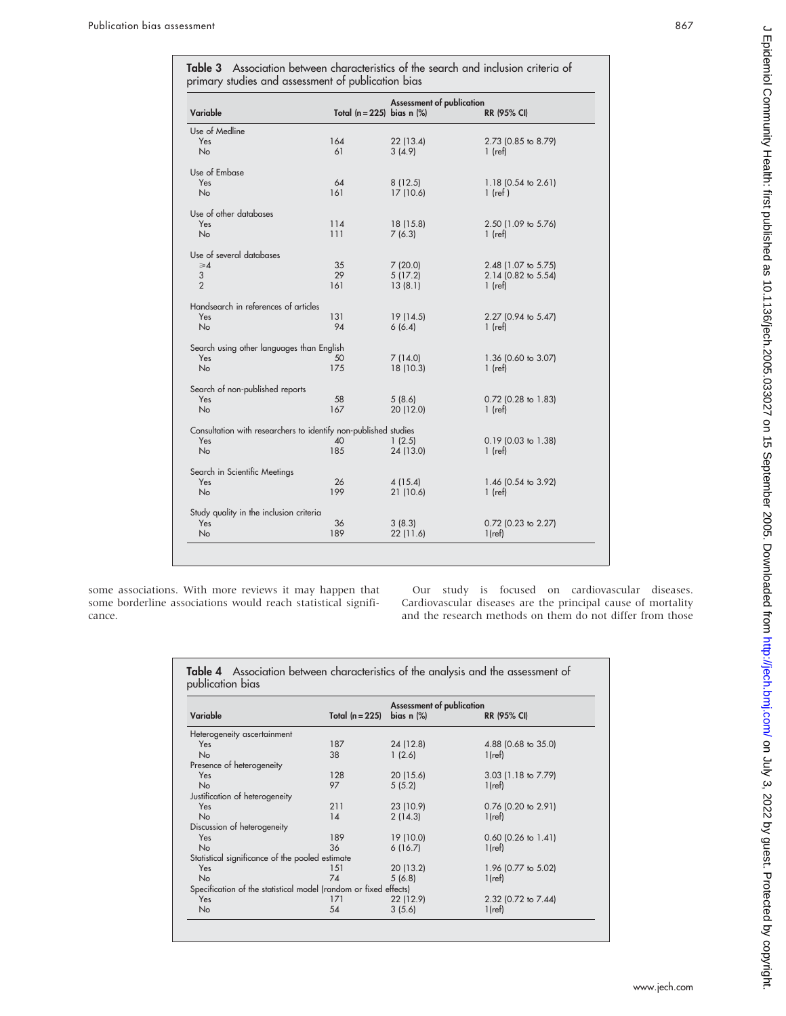Table 3 Association between characteristics of the search and inclusion criteria of primary studies and assessment of publication bias

| Variable                                                        | Total $(n = 225)$ bias n $(\%)$ | <b>Assessment of publication</b> | RR (95% CI)         |
|-----------------------------------------------------------------|---------------------------------|----------------------------------|---------------------|
| Use of Medline                                                  |                                 |                                  |                     |
| <b>Yes</b>                                                      | 164                             | 22 (13.4)                        | 2.73 (0.85 to 8.79) |
| <b>No</b>                                                       | 61                              | 3(4.9)                           | $1$ (ref)           |
| Use of Embase                                                   |                                 |                                  |                     |
| Yes                                                             | 64                              | 8(12.5)                          | 1.18 (0.54 to 2.61) |
| <b>No</b>                                                       | 161                             | 17(10.6)                         | $1$ (ref)           |
| Use of other databases                                          |                                 |                                  |                     |
| Yes                                                             | 114                             | 18 (15.8)                        | 2.50 (1.09 to 5.76) |
| <b>No</b>                                                       | 111                             | 7(6.3)                           | $1$ (ref)           |
| Use of several databases                                        |                                 |                                  |                     |
| $\geq 4$                                                        | 35                              | 7(20.0)                          | 2.48 (1.07 to 5.75) |
| 3                                                               | 29                              | 5(17.2)                          | 2.14 (0.82 to 5.54) |
| $\overline{2}$                                                  | 161                             | 13(8.1)                          | $1$ (ref)           |
| Handsearch in references of articles                            |                                 |                                  |                     |
| Yes                                                             | 131                             | 19(14.5)                         | 2.27 (0.94 to 5.47) |
| <b>No</b>                                                       | 94                              | 6(6.4)                           | $1$ (ref)           |
| Search using other languages than English                       |                                 |                                  |                     |
| Yes                                                             | 50                              | 7(14.0)                          | 1.36 (0.60 to 3.07) |
| <b>No</b>                                                       | 175                             | 18 (10.3)                        | $1$ (ref)           |
| Search of non-published reports                                 |                                 |                                  |                     |
| Yes                                                             | 58                              | 5(8.6)                           | 0.72 (0.28 to 1.83) |
| <b>No</b>                                                       | 167                             | 20 (12.0)                        | $1$ (ref)           |
| Consultation with researchers to identify non-published studies |                                 |                                  |                     |
| Yes                                                             | 40                              | 1(2.5)                           | 0.19 (0.03 to 1.38) |
| <b>No</b>                                                       | 185                             | 24 (13.0)                        | $1$ (ref)           |
| Search in Scientific Meetings                                   |                                 |                                  |                     |
| Yes                                                             | 26                              | 4 (15.4)                         | 1.46 (0.54 to 3.92) |
| <b>No</b>                                                       | 199                             | 21 (10.6)                        | $1$ (ref)           |
| Study quality in the inclusion criteria                         |                                 |                                  |                     |
| Yes                                                             | 36                              | 3(8.3)                           | 0.72 (0.23 to 2.27) |
| <b>No</b>                                                       | 189                             | 22(11.6)                         | $1$ (ref)           |
|                                                                 |                                 |                                  |                     |
|                                                                 |                                 |                                  |                     |

some associations. With more reviews it may happen that some borderline associations would reach statistical significance.

Our study is focused on cardiovascular diseases. Cardiovascular diseases are the principal cause of mortality and the research methods on them do not differ from those

| Variable                                                         | Total $(n = 225)$ | <b>Assessment of publication</b><br>bias $n$ $%$ | RR (95% CI)           |
|------------------------------------------------------------------|-------------------|--------------------------------------------------|-----------------------|
|                                                                  |                   |                                                  |                       |
| Heterogeneity ascertainment                                      |                   |                                                  |                       |
| Yes                                                              | 187               | 24 (12.8)                                        | 4.88 (0.68 to 35.0)   |
| <b>No</b>                                                        | 38                | 1(2.6)                                           | $1$ (ref)             |
| Presence of heterogeneity                                        |                   |                                                  |                       |
| Yes                                                              | 128               | 20(15.6)                                         | 3.03 (1.18 to 7.79)   |
| No                                                               | 97                | 5(5.2)                                           | $1$ (ref)             |
| Justification of heterogeneity                                   |                   |                                                  |                       |
| Yes                                                              | 211               | 23 (10.9)                                        | $0.76$ (0.20 to 2.91) |
| <b>No</b>                                                        | 14                | 2(14.3)                                          | $1$ (ref)             |
| Discussion of heterogeneity                                      |                   |                                                  |                       |
| Yes                                                              | 189               | 19 (10.0)                                        | $0.60$ (0.26 to 1.41) |
| <b>No</b>                                                        | 36                | 6(16.7)                                          | $1$ (ref)             |
| Statistical significance of the pooled estimate                  |                   |                                                  |                       |
| Yes                                                              | 151               | 20(13.2)                                         | 1.96 (0.77 to 5.02)   |
| No                                                               | 74                | 5(6.8)                                           | $1$ (ref)             |
| Specification of the statistical model (random or fixed effects) |                   |                                                  |                       |
| Yes                                                              | 171               | 22 (12.9)                                        | 2.32 (0.72 to 7.44)   |
| No                                                               | 54                | 3(5.6)                                           | $1$ (ref)             |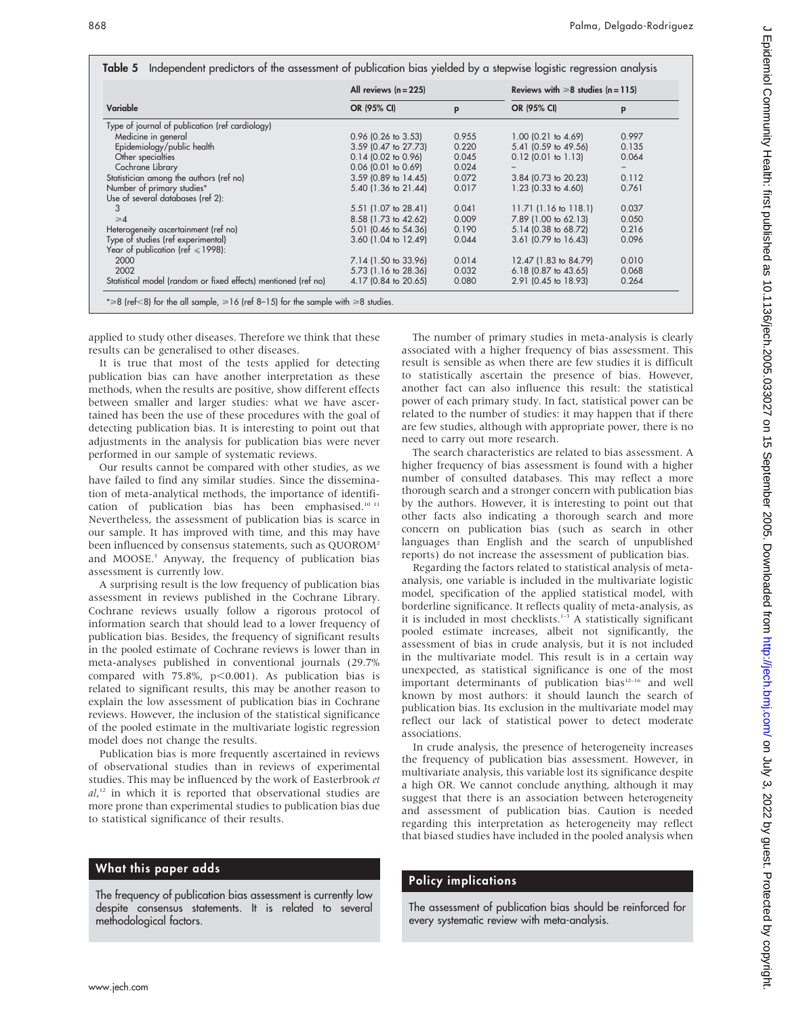| Variable                                                       | All reviews $(n = 225)$ |       | Reviews with $\geq 8$ studies (n = 115) |       |
|----------------------------------------------------------------|-------------------------|-------|-----------------------------------------|-------|
|                                                                | OR (95% CI)             | p     | OR (95% CI)                             | p     |
| Type of journal of publication (ref cardiology)                |                         |       |                                         |       |
| Medicine in general                                            | $0.96$ (0.26 to 3.53)   | 0.955 | $1.00$ (0.21 to 4.69)                   | 0.997 |
| Epidemiology/public health                                     | 3.59 (0.47 to 27.73)    | 0.220 | 5.41 (0.59 to 49.56)                    | 0.135 |
| Other specialties                                              | $0.14$ (0.02 to 0.96)   | 0.045 | $0.12$ (0.01 to 1.13)                   | 0.064 |
| Cochrane Library                                               | $0.06$ (0.01 to 0.69)   | 0.024 |                                         |       |
| Statistician among the authors (ref no)                        | 3.59 (0.89 to 14.45)    | 0.072 | 3.84 (0.73 to 20.23)                    | 0.112 |
| Number of primary studies*                                     | 5.40 (1.36 to 21.44)    | 0.017 | 1.23 (0.33 to 4.60)                     | 0.761 |
| Use of several databases (ref 2):                              |                         |       |                                         |       |
| 3                                                              | 5.51 (1.07 to 28.41)    | 0.041 | $11.71$ (1.16 to 118.1)                 | 0.037 |
| $\geq 4$                                                       | 8.58 (1.73 to 42.62)    | 0.009 | 7.89 (1.00 to 62.13)                    | 0.050 |
| Heterogeneity ascertainment (ref no)                           | 5.01 (0.46 to 54.36)    | 0.190 | 5.14 (0.38 to 68.72)                    | 0.216 |
| Type of studies (ref experimental)                             | 3.60 (1.04 to 12.49)    | 0.044 | 3.61 (0.79 to 16.43)                    | 0.096 |
| Year of publication (ref $\leq 1998$ ):                        |                         |       |                                         |       |
| 2000                                                           | 7.14 (1.50 to 33.96)    | 0.014 | 12.47 (1.83 to 84.79)                   | 0.010 |
| 2002                                                           | 5.73 (1.16 to 28.36)    | 0.032 | $6.18$ (0.87 to 43.65)                  | 0.068 |
| Statistical model (random or fixed effects) mentioned (ref no) | 4.17 (0.84 to 20.65)    | 0.080 | 2.91 (0.45 to 18.93)                    | 0.264 |

applied to study other diseases. Therefore we think that these results can be generalised to other diseases.

It is true that most of the tests applied for detecting publication bias can have another interpretation as these methods, when the results are positive, show different effects between smaller and larger studies: what we have ascertained has been the use of these procedures with the goal of detecting publication bias. It is interesting to point out that adjustments in the analysis for publication bias were never performed in our sample of systematic reviews.

Our results cannot be compared with other studies, as we have failed to find any similar studies. Since the dissemination of meta-analytical methods, the importance of identification of publication bias has been emphasised.<sup>10 11</sup> Nevertheless, the assessment of publication bias is scarce in our sample. It has improved with time, and this may have been influenced by consensus statements, such as QUOROM<sup>2</sup> and MOOSE.<sup>3</sup> Anyway, the frequency of publication bias assessment is currently low.

A surprising result is the low frequency of publication bias assessment in reviews published in the Cochrane Library. Cochrane reviews usually follow a rigorous protocol of information search that should lead to a lower frequency of publication bias. Besides, the frequency of significant results in the pooled estimate of Cochrane reviews is lower than in meta-analyses published in conventional journals (29.7% compared with 75.8%,  $p<0.001$ ). As publication bias is related to significant results, this may be another reason to explain the low assessment of publication bias in Cochrane reviews. However, the inclusion of the statistical significance of the pooled estimate in the multivariate logistic regression model does not change the results.

Publication bias is more frequently ascertained in reviews of observational studies than in reviews of experimental studies. This may be influenced by the work of Easterbrook et al,<sup>12</sup> in which it is reported that observational studies are more prone than experimental studies to publication bias due to statistical significance of their results.

### What this paper adds

The frequency of publication bias assessment is currently low despite consensus statements. It is related to several methodological factors.

The number of primary studies in meta-analysis is clearly associated with a higher frequency of bias assessment. This result is sensible as when there are few studies it is difficult to statistically ascertain the presence of bias. However, another fact can also influence this result: the statistical power of each primary study. In fact, statistical power can be related to the number of studies: it may happen that if there are few studies, although with appropriate power, there is no need to carry out more research.

The search characteristics are related to bias assessment. A higher frequency of bias assessment is found with a higher number of consulted databases. This may reflect a more thorough search and a stronger concern with publication bias by the authors. However, it is interesting to point out that other facts also indicating a thorough search and more concern on publication bias (such as search in other languages than English and the search of unpublished reports) do not increase the assessment of publication bias.

Regarding the factors related to statistical analysis of metaanalysis, one variable is included in the multivariate logistic model, specification of the applied statistical model, with borderline significance. It reflects quality of meta-analysis, as it is included in most checklists.<sup>1-3</sup> A statistically significant pooled estimate increases, albeit not significantly, the assessment of bias in crude analysis, but it is not included in the multivariate model. This result is in a certain way unexpected, as statistical significance is one of the most important determinants of publication bias<sup>12-16</sup> and well known by most authors: it should launch the search of publication bias. Its exclusion in the multivariate model may reflect our lack of statistical power to detect moderate associations.

In crude analysis, the presence of heterogeneity increases the frequency of publication bias assessment. However, in multivariate analysis, this variable lost its significance despite a high OR. We cannot conclude anything, although it may suggest that there is an association between heterogeneity and assessment of publication bias. Caution is needed regarding this interpretation as heterogeneity may reflect that biased studies have included in the pooled analysis when

# Policy implications

The assessment of publication bias should be reinforced for every systematic review with meta-analysis.